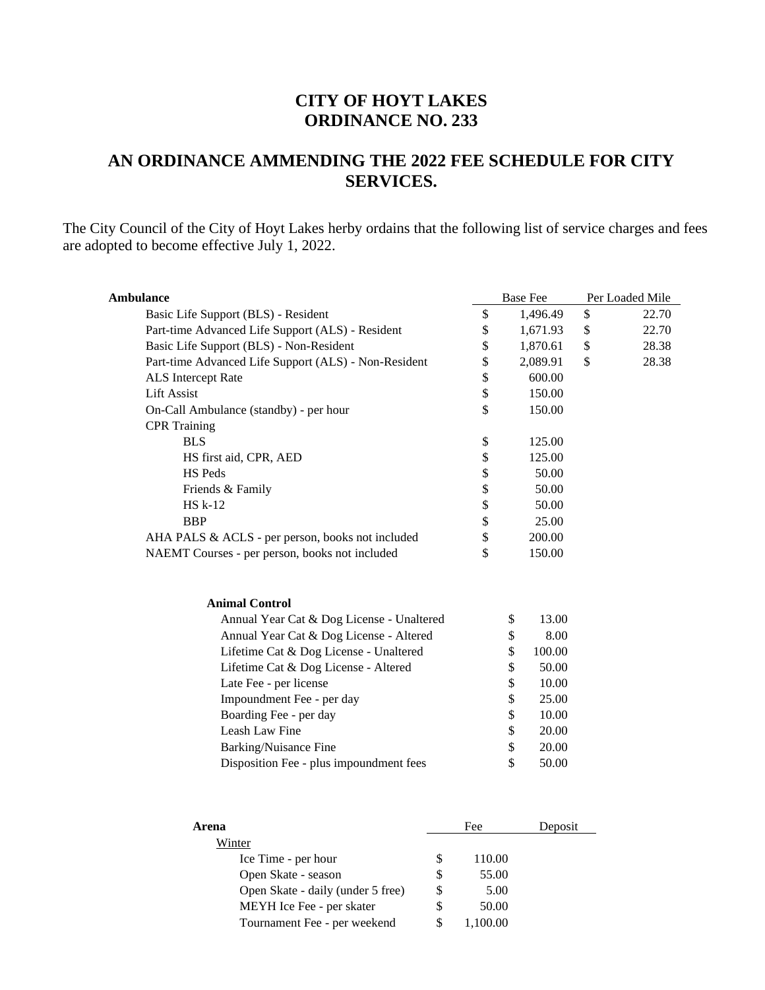## **CITY OF HOYT LAKES ORDINANCE NO. 233**

## **AN ORDINANCE AMMENDING THE 2022 FEE SCHEDULE FOR CITY SERVICES.**

The City Council of the City of Hoyt Lakes herby ordains that the following list of service charges and fees are adopted to become effective July 1, 2022.

| <b>Ambulance</b>                                     |              | <b>Base Fee</b> | Per Loaded Mile |
|------------------------------------------------------|--------------|-----------------|-----------------|
| Basic Life Support (BLS) - Resident                  | \$           | 1,496.49        | \$<br>22.70     |
| Part-time Advanced Life Support (ALS) - Resident     | \$           | 1,671.93        | \$<br>22.70     |
| Basic Life Support (BLS) - Non-Resident              | \$           | 1,870.61        | \$<br>28.38     |
| Part-time Advanced Life Support (ALS) - Non-Resident | \$           | 2,089.91        | \$<br>28.38     |
| ALS Intercept Rate                                   | \$           | 600.00          |                 |
| <b>Lift Assist</b>                                   | \$           | 150.00          |                 |
| On-Call Ambulance (standby) - per hour               | \$           | 150.00          |                 |
| <b>CPR</b> Training                                  |              |                 |                 |
| <b>BLS</b>                                           | \$           | 125.00          |                 |
| HS first aid, CPR, AED                               | \$           | 125.00          |                 |
| <b>HS Peds</b>                                       | \$           | 50.00           |                 |
| Friends & Family                                     | \$           | 50.00           |                 |
| <b>HS</b> k-12                                       | \$           | 50.00           |                 |
| <b>BBP</b>                                           | \$           | 25.00           |                 |
| AHA PALS & ACLS - per person, books not included     | \$           | 200.00          |                 |
| NAEMT Courses - per person, books not included       | $\mathbb{S}$ | 150.00          |                 |
|                                                      |              |                 |                 |
| <b>Animal Control</b>                                |              |                 |                 |
| Annual Year Cat & Dog License - Unaltered            |              | \$<br>13.00     |                 |
| Annual Year Cat & Dog License - Altered              |              | 8.00<br>\$      |                 |
| Lifetime Cat & Dog License - Unaltered               |              | \$<br>100.00    |                 |
| Lifetime Cat & Dog License - Altered                 |              | \$<br>50.00     |                 |
| Late Fee - per license                               |              | \$<br>10.00     |                 |
| Impoundment Fee - per day                            |              | \$<br>25.00     |                 |
| Boarding Fee - per day                               |              | \$<br>10.00     |                 |
| Leash Law Fine                                       |              | \$<br>20.00     |                 |
| <b>Barking/Nuisance Fine</b>                         |              | \$<br>20.00     |                 |
| Disposition Fee - plus impoundment fees              |              | \$<br>50.00     |                 |
|                                                      |              |                 |                 |
| Arena                                                | Fee          | Deposit         |                 |

| Arena                             |   | Fee    | Deposit |
|-----------------------------------|---|--------|---------|
| Winter                            |   |        |         |
| Ice Time - per hour               |   | 110.00 |         |
| Open Skate - season               | S | 55.00  |         |
| Open Skate - daily (under 5 free) |   | 5.00   |         |
| MEYH Ice Fee - per skater         |   | 50.00  |         |
| Tournament Fee - per weekend      |   | 100.00 |         |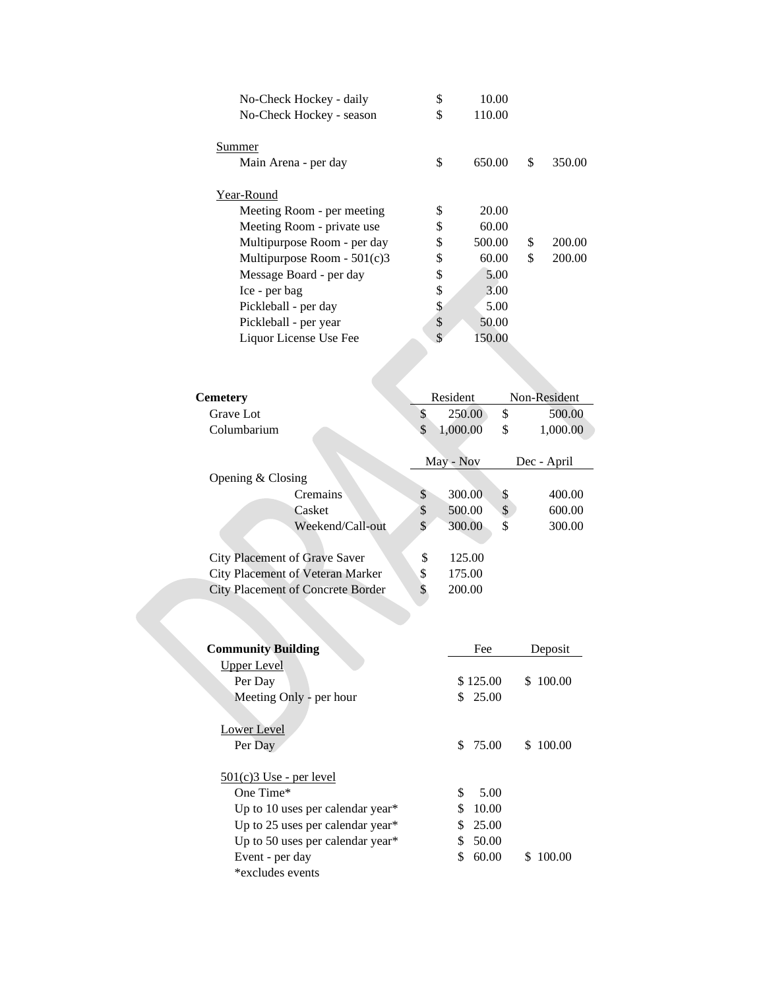| No-Check Hockey - daily       | \$ | 10.00  |              |
|-------------------------------|----|--------|--------------|
| No-Check Hockey - season      | \$ | 110.00 |              |
|                               |    |        |              |
| Summer                        |    |        |              |
| Main Arena - per day          | \$ | 650.00 | \$<br>350.00 |
|                               |    |        |              |
| Year-Round                    |    |        |              |
| Meeting Room - per meeting    | \$ | 20.00  |              |
| Meeting Room - private use    | S  | 60.00  |              |
| Multipurpose Room - per day   | \$ | 500.00 | \$<br>200.00 |
| Multipurpose Room - $501(c)3$ | S  | 60.00  | \$<br>200.00 |
| Message Board - per day       | \$ | 5.00   |              |
| Ice - per bag                 | \$ | 3.00   |              |
| Pickleball - per day          | S  | 5.00   |              |
| Pickleball - per year         | \$ | 50.00  |              |
| Liquor License Use Fee        |    | 150.00 |              |
|                               |    |        |              |

| Cemetery                                 |    | Resident  | Non-Resident   |
|------------------------------------------|----|-----------|----------------|
| Grave Lot                                | S  | 250.00    | \$<br>500.00   |
| Columbarium                              | \$ | 1,000.00  | \$<br>1,000.00 |
|                                          |    | May - Nov | Dec - April    |
| Opening $& Classing$                     |    |           |                |
| <b>Cremains</b>                          | \$ | 300.00    | \$<br>400.00   |
| Casket                                   | \$ | 500.00    | \$<br>600.00   |
| Weekend/Call-out                         | \$ | 300.00    | \$<br>300.00   |
|                                          |    |           |                |
| City Placement of Grave Saver            | \$ | 125.00    |                |
| City Placement of Veteran Marker         | \$ | 175.00    |                |
| <b>City Placement of Concrete Border</b> | \$ | 200.00    |                |

| <b>Community Building</b>           | Fee         | Deposit      |
|-------------------------------------|-------------|--------------|
| Upper Level                         |             |              |
| Per Day                             | \$125.00    | 100.00<br>S. |
| Meeting Only - per hour             | \$25.00     |              |
|                                     |             |              |
| Lower Level                         |             |              |
| Per Day                             | \$75.00     | S.<br>100.00 |
|                                     |             |              |
| $\frac{501(c)}{3}$ Use - per level  |             |              |
| One Time*                           | \$<br>5.00  |              |
| Up to 10 uses per calendar year $*$ | \$<br>10.00 |              |
| Up to 25 uses per calendar year*    | 25.00<br>\$ |              |
| Up to 50 uses per calendar year*    | 50.00       |              |
| Event - per day                     | 60.00       | 100.00<br>S. |
| *excludes events                    |             |              |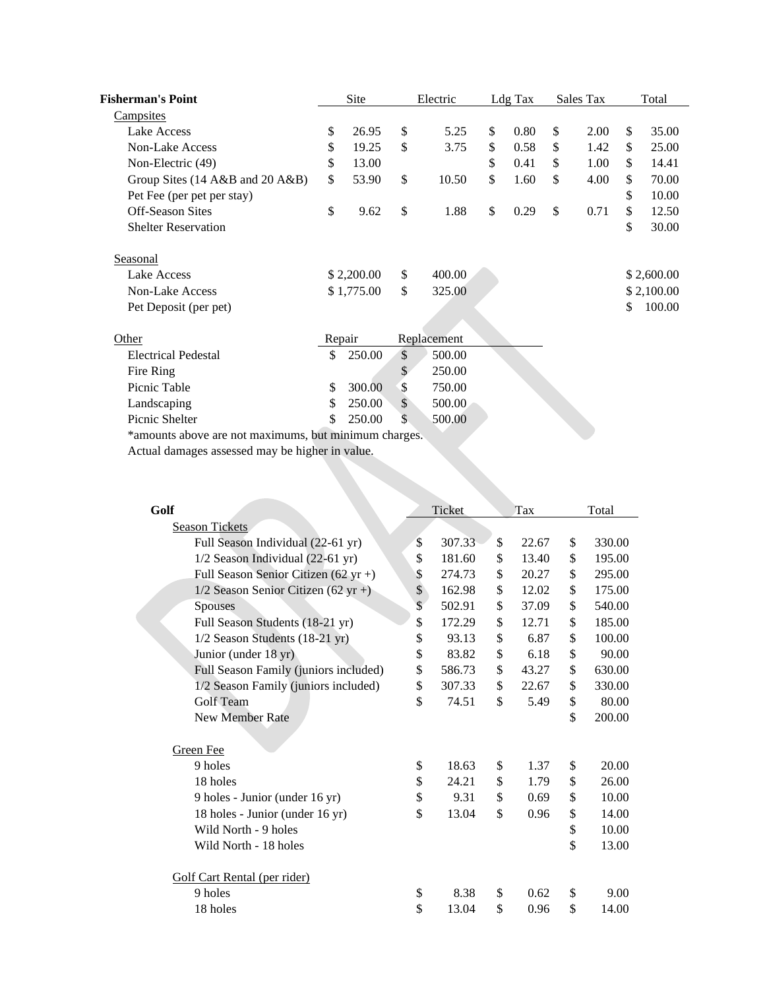| Fisherman's Point               |        | <b>Site</b> |        | Electric    |              | Ldg Tax | Sales Tax  | Total        |
|---------------------------------|--------|-------------|--------|-------------|--------------|---------|------------|--------------|
| <b>Campsites</b>                |        |             |        |             |              |         |            |              |
| Lake Access                     | \$     | 26.95       | \$     | 5.25        | \$           | 0.80    | \$<br>2.00 | \$<br>35.00  |
| <b>Non-Lake Access</b>          | \$     | 19.25       | \$     | 3.75        | \$           | 0.58    | \$<br>1.42 | \$<br>25.00  |
| Non-Electric (49)               | \$     | 13.00       |        |             | \$           | 0.41    | \$<br>1.00 | \$<br>14.41  |
| Group Sites (14 A&B and 20 A&B) | \$     | 53.90       | \$     | 10.50       | \$           | 1.60    | \$<br>4.00 | \$<br>70.00  |
| Pet Fee (per pet per stay)      |        |             |        |             |              |         |            | \$<br>10.00  |
| <b>Off-Season Sites</b>         | \$     | 9.62        | \$     | 1.88        | $\mathbb{S}$ | 0.29    | \$<br>0.71 | \$<br>12.50  |
| <b>Shelter Reservation</b>      |        |             |        |             |              |         |            | \$<br>30.00  |
| <b>Seasonal</b>                 |        |             |        |             |              |         |            |              |
| Lake Access                     |        | \$2,200.00  | \$     | 400.00      |              |         |            | \$2,600.00   |
| Non-Lake Access                 |        | \$1,775.00  | \$     | 325.00      |              |         |            | \$2,100.00   |
| Pet Deposit (per pet)           |        |             |        |             |              |         |            | \$<br>100.00 |
| Other                           | Repair |             |        | Replacement |              |         |            |              |
| <b>Electrical Pedestal</b>      | \$     | 250.00      | \$     | 500.00      |              |         |            |              |
| Fire Ring                       |        |             | \$     | 250.00      |              |         |            |              |
| Picnic Table                    | \$     | 300.00      | \$     | 750.00      |              |         |            |              |
| Landscaping                     | \$     | 250.00      | $\$\,$ | 500.00      |              |         |            |              |
| Picnic Shelter                  | \$     | 250.00      | \$     | 500.00      |              |         |            |              |

\*amounts above are not maximums, but minimum charges.

Actual damages assessed may be higher in value.

| Golf                                  | Ticket       | Tax         | Total        |
|---------------------------------------|--------------|-------------|--------------|
| <b>Season Tickets</b>                 |              |             |              |
| Full Season Individual (22-61 yr)     | \$<br>307.33 | \$<br>22.67 | \$<br>330.00 |
| 1/2 Season Individual (22-61 yr)      | \$<br>181.60 | \$<br>13.40 | \$<br>195.00 |
| Full Season Senior Citizen (62 yr +)  | \$<br>274.73 | \$<br>20.27 | \$<br>295.00 |
| $1/2$ Season Senior Citizen (62 yr +) | \$<br>162.98 | \$<br>12.02 | \$<br>175.00 |
| <b>Spouses</b>                        | \$<br>502.91 | \$<br>37.09 | \$<br>540.00 |
| Full Season Students (18-21 yr)       | \$<br>172.29 | \$<br>12.71 | \$<br>185.00 |
| 1/2 Season Students (18-21 yr)        | \$<br>93.13  | \$<br>6.87  | \$<br>100.00 |
| Junior (under 18 yr)                  | \$<br>83.82  | \$<br>6.18  | \$<br>90.00  |
| Full Season Family (juniors included) | \$<br>586.73 | \$<br>43.27 | \$<br>630.00 |
| 1/2 Season Family (juniors included)  | \$<br>307.33 | \$<br>22.67 | \$<br>330.00 |
| Golf Team                             | \$<br>74.51  | \$<br>5.49  | \$<br>80.00  |
| New Member Rate                       |              |             | \$<br>200.00 |
| Green Fee                             |              |             |              |
| 9 holes                               | \$<br>18.63  | \$<br>1.37  | \$<br>20.00  |
| 18 holes                              | \$<br>24.21  | \$<br>1.79  | \$<br>26.00  |
| 9 holes - Junior (under 16 yr)        | \$<br>9.31   | \$<br>0.69  | \$<br>10.00  |
| 18 holes - Junior (under 16 yr)       | \$<br>13.04  | \$<br>0.96  | \$<br>14.00  |
| Wild North - 9 holes                  |              |             | \$<br>10.00  |
| Wild North - 18 holes                 |              |             | \$<br>13.00  |
| Golf Cart Rental (per rider)          |              |             |              |
| 9 holes                               | \$<br>8.38   | \$<br>0.62  | \$<br>9.00   |
| 18 holes                              | \$<br>13.04  | \$<br>0.96  | \$<br>14.00  |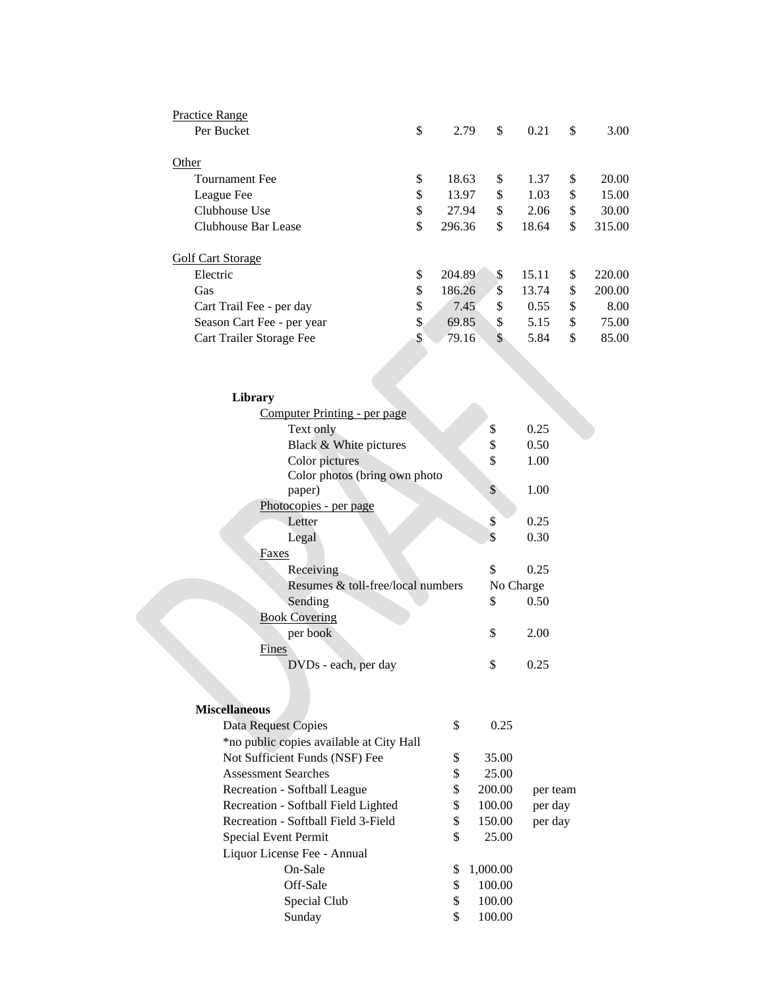| Practice Range             |              |    |       |              |
|----------------------------|--------------|----|-------|--------------|
| Per Bucket                 | \$<br>2.79   | \$ | 0.21  | \$<br>3.00   |
| Other                      |              |    |       |              |
| <b>Tournament Fee</b>      | \$<br>18.63  | \$ | 1.37  | \$<br>20.00  |
| League Fee                 | \$<br>13.97  | \$ | 1.03  | \$<br>15.00  |
| Clubhouse Use              | \$<br>27.94  | \$ | 2.06  | \$<br>30.00  |
| Clubhouse Bar Lease        | \$<br>296.36 | \$ | 18.64 | \$<br>315.00 |
| Golf Cart Storage          |              |    |       |              |
| Electric                   | \$<br>204.89 | S  | 15.11 | \$<br>220.00 |
| Gas                        | \$<br>186.26 | \$ | 13.74 | \$<br>200.00 |
| Cart Trail Fee - per day   | \$<br>7.45   | \$ | 0.55  | \$<br>8.00   |
| Season Cart Fee - per year | \$<br>69.85  | \$ | 5.15  | \$<br>75.00  |
| Cart Trailer Storage Fee   | \$<br>79.16  | \$ | 5.84  | \$<br>85.00  |

| Library                                  |           |      |
|------------------------------------------|-----------|------|
| Computer Printing - per page             |           |      |
| Text only                                | \$        | 0.25 |
| Black & White pictures                   | \$        | 0.50 |
| Color pictures                           | \$        | 1.00 |
| Color photos (bring own photo            |           |      |
| paper)                                   | \$        | 1.00 |
| Photocopies - per page                   |           |      |
| Letter                                   | \$        | 0.25 |
| Legal                                    | \$        | 0.30 |
| Faxes                                    |           |      |
| Receiving                                | \$        | 0.25 |
| Resumes & toll-free/local numbers        | No Charge |      |
| Sending                                  | \$        | 0.50 |
| <b>Book Covering</b>                     |           |      |
| per book                                 | \$        | 2.00 |
| Fines                                    |           |      |
| DVDs - each, per day                     | \$        | 0.25 |
|                                          |           |      |
| <b>Miscellaneous</b>                     |           |      |
| \$<br><b>Data Request Copies</b>         | 0.25      |      |
| *no public copies available at City Hall |           |      |

| <b>Data Request Copies</b>               |    |          |          |
|------------------------------------------|----|----------|----------|
| *no public copies available at City Hall |    |          |          |
| Not Sufficient Funds (NSF) Fee           | \$ | 35.00    |          |
| <b>Assessment Searches</b>               | \$ | 25.00    |          |
| Recreation - Softball League             | \$ | 200.00   | per team |
| Recreation - Softball Field Lighted      | \$ | 100.00   | per day  |
| Recreation - Softball Field 3-Field      | \$ | 150.00   | per day  |
| Special Event Permit                     | \$ | 25.00    |          |
| Liquor License Fee - Annual              |    |          |          |
| On-Sale                                  | S  | 1,000.00 |          |
| Off-Sale                                 | \$ | 100.00   |          |
| Special Club                             | \$ | 100.00   |          |
| Sunday                                   | \$ | 100.00   |          |
|                                          |    |          |          |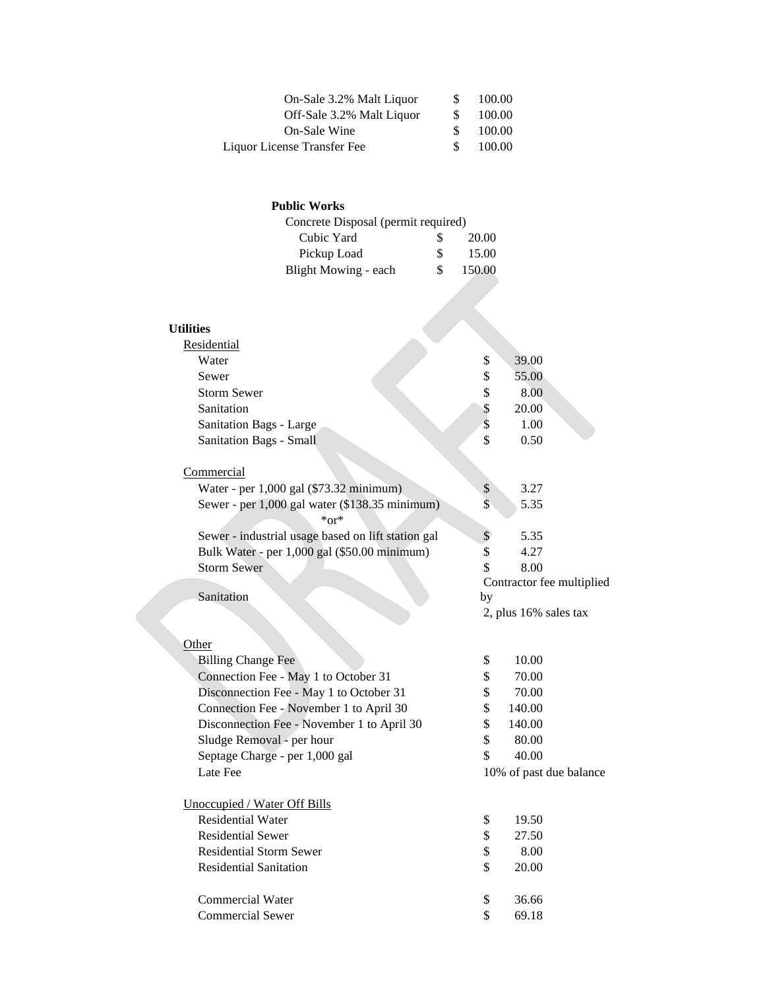| On-Sale 3.2% Malt Liquor    | S. | 100.00 |
|-----------------------------|----|--------|
| Off-Sale 3.2% Malt Liquor   | S. | 100.00 |
| On-Sale Wine                | S. | 100.00 |
| Liquor License Transfer Fee | S. | 100.00 |

## **Public Works**

| S. | 20.00                               |
|----|-------------------------------------|
| S. | 15.00                               |
| S. | 150.00                              |
|    | Concrete Disposal (permit required) |

## **Utilities**

| Residential                                                  |                         |                           |  |
|--------------------------------------------------------------|-------------------------|---------------------------|--|
| Water                                                        | \$                      | 39.00                     |  |
| Sewer                                                        | \$                      | 55.00                     |  |
| <b>Storm Sewer</b>                                           | \$                      | 8.00                      |  |
| Sanitation                                                   | \$                      | 20.00                     |  |
| Sanitation Bags - Large                                      | \$                      | 1.00                      |  |
| Sanitation Bags - Small                                      | \$                      | 0.50                      |  |
| Commercial                                                   |                         |                           |  |
| Water - per 1,000 gal (\$73.32 minimum)                      | \$                      | 3.27                      |  |
| Sewer - per 1,000 gal water (\$138.35 minimum)<br>$*$ or $*$ | $\overline{\mathbb{S}}$ | 5.35                      |  |
| Sewer - industrial usage based on lift station gal           | $\mathsf{\$}$           | 5.35                      |  |
| Bulk Water - per 1,000 gal (\$50.00 minimum)                 | \$                      | 4.27                      |  |
| <b>Storm Sewer</b>                                           | \$                      | 8.00                      |  |
|                                                              |                         | Contractor fee multiplied |  |
| Sanitation                                                   | by                      |                           |  |
|                                                              |                         | 2, plus 16% sales tax     |  |
| Other                                                        |                         |                           |  |
| <b>Billing Change Fee</b>                                    | \$                      | 10.00                     |  |
| Connection Fee - May 1 to October 31                         | \$                      | 70.00                     |  |
| Disconnection Fee - May 1 to October 31                      | \$                      | 70.00                     |  |
| Connection Fee - November 1 to April 30                      | \$                      | 140.00                    |  |
| Disconnection Fee - November 1 to April 30                   | \$                      | 140.00                    |  |
| Sludge Removal - per hour                                    | \$                      | 80.00                     |  |
| Septage Charge - per 1,000 gal                               | \$                      | 40.00                     |  |
| Late Fee                                                     | 10% of past due balance |                           |  |
| Unoccupied / Water Off Bills                                 |                         |                           |  |
| <b>Residential Water</b>                                     | \$                      | 19.50                     |  |
| <b>Residential Sewer</b>                                     | \$                      | 27.50                     |  |
| <b>Residential Storm Sewer</b>                               | \$                      | 8.00                      |  |
| <b>Residential Sanitation</b>                                | \$                      | 20.00                     |  |
| <b>Commercial Water</b>                                      | \$                      | 36.66                     |  |
| <b>Commercial Sewer</b>                                      | \$                      | 69.18                     |  |